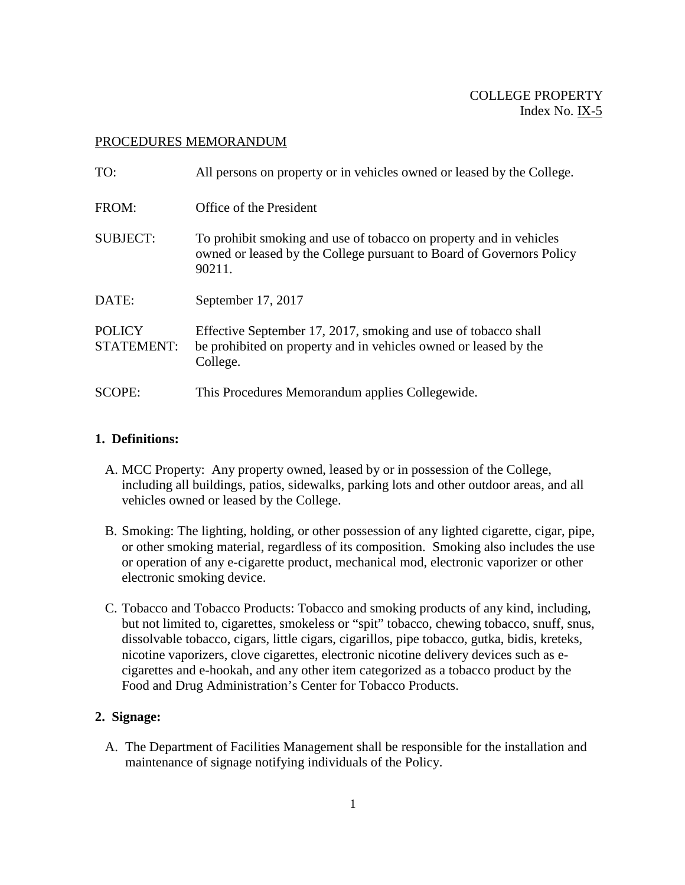# COLLEGE PROPERTY Index No. IX-5

## PROCEDURES MEMORANDUM

| TO:                                | All persons on property or in vehicles owned or leased by the College.                                                                               |
|------------------------------------|------------------------------------------------------------------------------------------------------------------------------------------------------|
| FROM:                              | Office of the President                                                                                                                              |
| <b>SUBJECT:</b>                    | To prohibit smoking and use of tobacco on property and in vehicles<br>owned or leased by the College pursuant to Board of Governors Policy<br>90211. |
| DATE:                              | September 17, 2017                                                                                                                                   |
| <b>POLICY</b><br><b>STATEMENT:</b> | Effective September 17, 2017, smoking and use of tobacco shall<br>be prohibited on property and in vehicles owned or leased by the<br>College.       |
| SCOPE:                             | This Procedures Memorandum applies Collegewide.                                                                                                      |

## **1. Definitions:**

- A. MCC Property: Any property owned, leased by or in possession of the College, including all buildings, patios, sidewalks, parking lots and other outdoor areas, and all vehicles owned or leased by the College.
- B. Smoking: The lighting, holding, or other possession of any lighted cigarette, cigar, pipe, or other smoking material, regardless of its composition. Smoking also includes the use or operation of any e-cigarette product, mechanical mod, electronic vaporizer or other electronic smoking device.
- C. Tobacco and Tobacco Products: Tobacco and smoking products of any kind, including, but not limited to, cigarettes, smokeless or "spit" tobacco, chewing tobacco, snuff, snus, dissolvable tobacco, cigars, little cigars, cigarillos, pipe tobacco, gutka, bidis, kreteks, nicotine vaporizers, clove cigarettes, electronic nicotine delivery devices such as ecigarettes and e-hookah, and any other item categorized as a tobacco product by the Food and Drug Administration's Center for Tobacco Products.

# **2. Signage:**

A. The Department of Facilities Management shall be responsible for the installation and maintenance of signage notifying individuals of the Policy.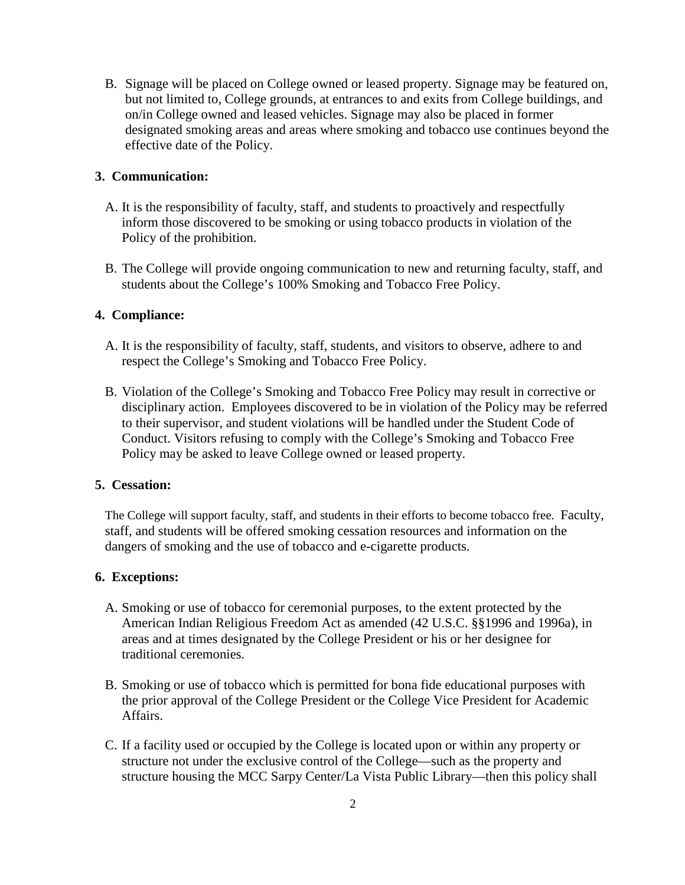B. Signage will be placed on College owned or leased property. Signage may be featured on, but not limited to, College grounds, at entrances to and exits from College buildings, and on/in College owned and leased vehicles. Signage may also be placed in former designated smoking areas and areas where smoking and tobacco use continues beyond the effective date of the Policy.

### **3. Communication:**

- A. It is the responsibility of faculty, staff, and students to proactively and respectfully inform those discovered to be smoking or using tobacco products in violation of the Policy of the prohibition.
- B. The College will provide ongoing communication to new and returning faculty, staff, and students about the College's 100% Smoking and Tobacco Free Policy.

### **4. Compliance:**

- A. It is the responsibility of faculty, staff, students, and visitors to observe, adhere to and respect the College's Smoking and Tobacco Free Policy.
- B. Violation of the College's Smoking and Tobacco Free Policy may result in corrective or disciplinary action. Employees discovered to be in violation of the Policy may be referred to their supervisor, and student violations will be handled under the Student Code of Conduct. Visitors refusing to comply with the College's Smoking and Tobacco Free Policy may be asked to leave College owned or leased property.

### **5. Cessation:**

The College will support faculty, staff, and students in their efforts to become tobacco free. Faculty, staff, and students will be offered smoking cessation resources and information on the dangers of smoking and the use of tobacco and e-cigarette products.

### **6. Exceptions:**

- A. Smoking or use of tobacco for ceremonial purposes, to the extent protected by the American Indian Religious Freedom Act as amended (42 U.S.C. §§1996 and 1996a), in areas and at times designated by the College President or his or her designee for traditional ceremonies.
- B. Smoking or use of tobacco which is permitted for bona fide educational purposes with the prior approval of the College President or the College Vice President for Academic Affairs.
- C. If a facility used or occupied by the College is located upon or within any property or structure not under the exclusive control of the College—such as the property and structure housing the MCC Sarpy Center/La Vista Public Library—then this policy shall